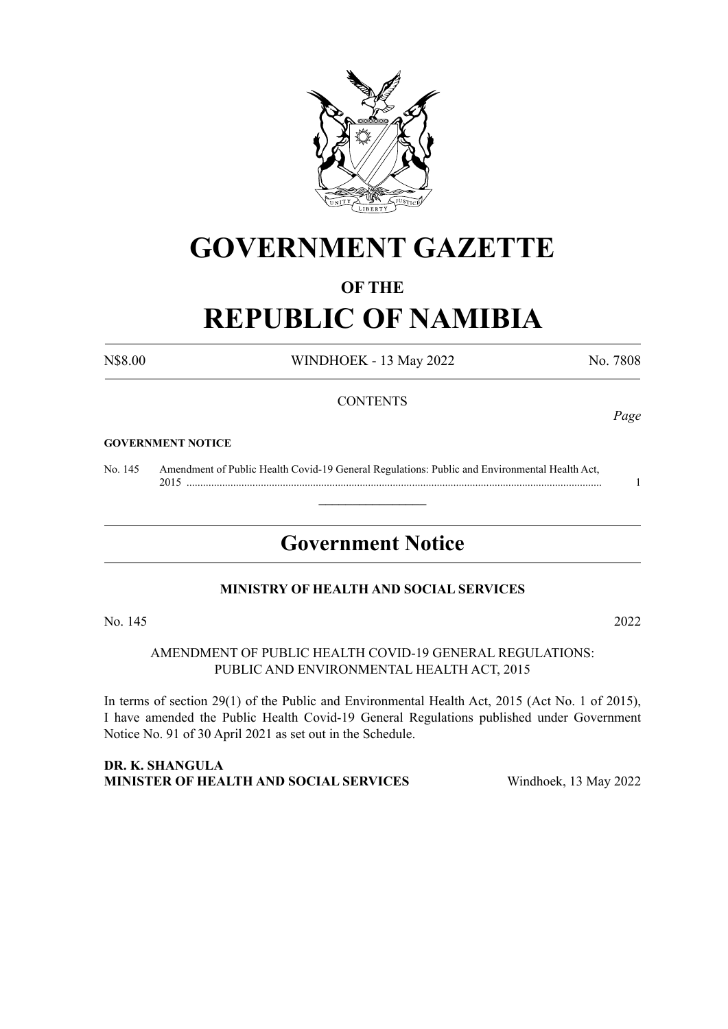

# **GOVERNMENT GAZETTE**

## **OF THE**

# **REPUBLIC OF NAMIBIA**

N\$8.00 WINDHOEK - 13 May 2022 No. 7808

#### **CONTENTS**

#### **GOVERNMENT NOTICE**

No. 145 Amendment of Public Health Covid-19 General Regulations: Public and Environmental Health Act, 2015 ....................................................................................................................................................... 1

# **Government Notice**

 $\overline{\phantom{a}}$  , where  $\overline{\phantom{a}}$ 

#### **MINISTRY OF HEALTH AND SOCIAL SERVICES**

No. 145 2022

AMENDMENT OF PUBLIC HEALTH COVID-19 GENERAL REGULATIONS: PUBLIC AND ENVIRONMENTAL HEALTH ACT, 2015

In terms of section 29(1) of the Public and Environmental Health Act, 2015 (Act No. 1 of 2015), I have amended the Public Health Covid-19 General Regulations published under Government Notice No. 91 of 30 April 2021 as set out in the Schedule.

#### **DR. K. SHANGULA MINISTER OF HEALTH AND SOCIAL SERVICES** Windhoek, 13 May 2022

*Page*